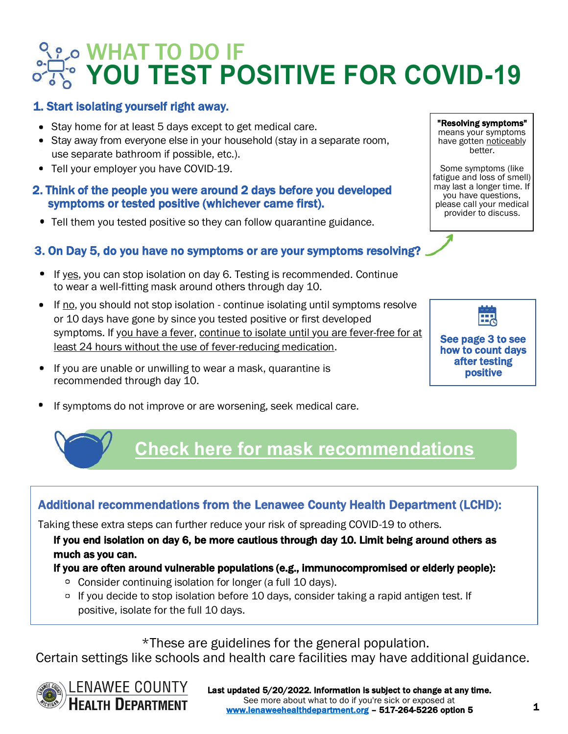# WHAT TO DO IF **YOU TEST POSITIVE FOR COVID-19**

## 1. Start isolating yourself right away.

- Stay home for at least 5 days except to get medical care.
- $\bullet$  Stay away from everyone else in your household (stay in a separate room, use separate bathroom if possible, etc.).
- Tell your employer you have COVID-19.

#### 2. Think of the people you were around 2 days before you developed symptoms or tested positive (whichever came first).

Tell them you tested positive so they can follow quarantine guidance.

## 3. On Day 5, do you have no symptoms or are your symptoms resolving?

- If yes, you can stop isolation on day 6. Testing is recommended. Continue to wear a well-fitting mask around others through day 10.
- If no, you should not stop isolation continue isolating until symptoms resolve or 10 days have gone by since you tested positive or first developed symptoms. If you have a fever, continue to isolate until you are fever-free for at least 24 hours without the use of fever-reducing medication.
- **If you are unable or unwilling to wear a mask, quarantine is** recommended through day 10.
- If symptoms do not improve or are worsening, seek medical care.



"Resolving symptoms" means your symptoms have gotten noticeably better. Some symptoms (like fatigue and loss of smell) may last a longer time. If you have questions, please call your medical provider to discuss.

## **[Check here for ma](https://publichealthcollaborative.org/resources/shareable-graphic-what-mask-should-i-wear/)sk recommendations**

## Additional recommendations from the Lenawee County Health Department (LCHD):

Taking these extra steps can further reduce your risk of spreading COVID-19 to others.

If you end isolation on day 6, be more cautious through day 10. Limit being around others as much as you can.

### If you are often around vulnerable populations (e.g., immunocompromised or elderly people):

- Consider continuing isolation for longer (a full 10 days).
- <sup>o</sup> If you decide to stop isolation before 10 days, consider taking a rapid antigen test. If positive, isolate for the full 10 days.

\*These are guidelines for the general population.

Certain settings like schools and health care facilities may have additional guidance.

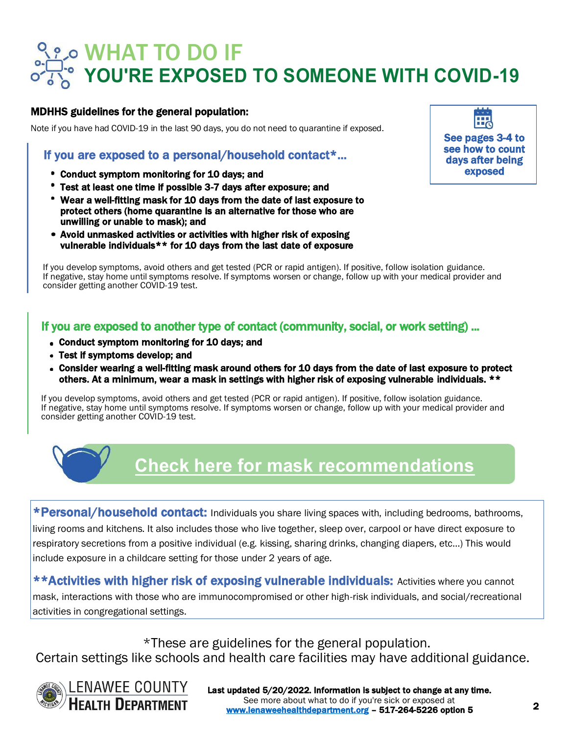# WHAT TO DO IF **YOU'RE EXPOSED TO SOMEONE WITH COVID-19**

#### MDHHS guidelines for the general population:

Note if you have had COVID-19 in the last 90 days, you do not need to quarantine if exposed.

### If you are exposed to a personal/household contact\*...

- Conduct symptom monitoring for 10 days; and
- Test at least one time if possible 3-7 days after exposure; and
- Wear a well-fitting mask for 10 days from the date of last exposure to protect others (home quarantine is an alternative for those who are unwilling or unable to mask); and
- Avoid unmasked activities or activities with higher risk of exposing vulnerable individuals\*\* for 10 days from the last date of exposure



If you develop symptoms, avoid others and get tested (PCR or rapid antigen). If positive, follow isolation guidance. If negative, stay home until symptoms resolve. If symptoms worsen or change, follow up with your medical provider and consider getting another COVID-19 test.

## If you are exposed to another type of contact (community, social, or work setting) ...

- Conduct symptom monitoring for 10 days; and
- Test if symptoms develop; and
- Consider wearing a well-fitting mask around others for 10 days from the date of last exposure to protect others. At a minimum, wear a mask in settings with higher risk of exposing vulnerable individuals. \*\*

If you develop symptoms, avoid others and get tested (PCR or rapid antigen). If positive, follow isolation guidance. If negative, stay home until symptoms resolve. If symptoms worsen or change, follow up with your medical provider and consider getting another COVID-19 test.



## **[Check here for ma](https://publichealthcollaborative.org/resources/shareable-graphic-what-mask-should-i-wear/)sk recommendations**

\*Personal/household contact: Individuals you share living spaces with, including bedrooms, bathrooms, living rooms and kitchens. It also includes those who live together, sleep over, carpool or have direct exposure to respiratory secretions from a positive individual (e.g. kissing, sharing drinks, changing diapers, etc…) This would include exposure in a childcare setting for those under 2 years of age.

\*\*Activities with higher risk of exposing vulnerable individuals: Activities where you cannot mask, interactions with those who are immunocompromised or other high-risk individuals, and social/recreational activities in congregational settings.

\*These are guidelines for the general population. Certain settings like schools and health care facilities may have additional guidance.

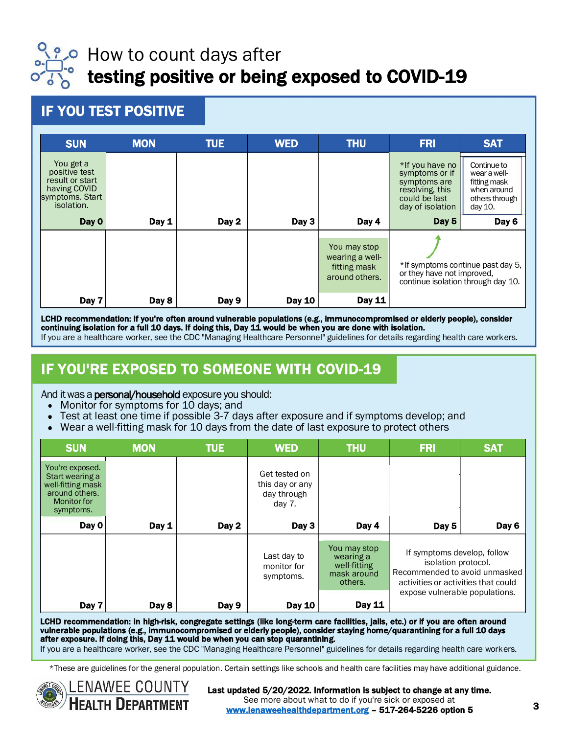

## How to count days after testing positive or being exposed to COVID-19

IF YOU TEST POSITIVE

| <b>SUN</b>                                                                                     | <b>MON</b> | <b>TUE</b> | <b>WED</b>    | <b>THU</b>                                                        | <b>FRI</b>                                                                                                | <b>SAT</b>                                                                              |
|------------------------------------------------------------------------------------------------|------------|------------|---------------|-------------------------------------------------------------------|-----------------------------------------------------------------------------------------------------------|-----------------------------------------------------------------------------------------|
| You get a<br>positive test<br>result or start<br>having COVID<br>symptoms. Start<br>isolation. |            |            |               |                                                                   | *If you have no<br>symptoms or if<br>symptoms are<br>resolving, this<br>could be last<br>day of isolation | Continue to<br>wear a well-<br>fitting mask<br>when around<br>others through<br>day 10. |
| Day 0                                                                                          | Day 1      | Day 2      | Day 3         | Day 4                                                             | Day 5                                                                                                     | Day 6                                                                                   |
|                                                                                                |            |            |               | You may stop<br>wearing a well-<br>fitting mask<br>around others. | *If symptoms continue past day 5.<br>or they have not improved.<br>continue isolation through day 10.     |                                                                                         |
| Day 7                                                                                          | Day 8      | Day 9      | <b>Day 10</b> | Day 11                                                            |                                                                                                           |                                                                                         |

LCHD recommendation: if you're often around vulnerable populations (e.g., immunocompromised or elderly people), consider continuing isolation for a full 10 days. If doing this, Day 11 would be when you are done with isolation. If you are a healthcare worker, see the CDC "Managing Healthcare Personnel" guidelines for details regarding health care workers.

## IF YOU'RE EXPOSED TO SOMEONE WITH COVID-19

#### And it was a **personal/household** exposure you should:

- Monitor for symptoms for 10 days; and
- Test at least one time if possible 3-7 days after exposure and if symptoms develop; and
- Wear a well-fitting mask for 10 days from the date of last exposure to protect others

| <b>SUN</b>                                                                                                   | <b>MON</b> | <b>TUE</b> | <b>WED</b>                                                  | <b>THU</b>                                                          | <b>FRI</b>                                                                                                                                                   | <b>SAT</b> |
|--------------------------------------------------------------------------------------------------------------|------------|------------|-------------------------------------------------------------|---------------------------------------------------------------------|--------------------------------------------------------------------------------------------------------------------------------------------------------------|------------|
| You're exposed.<br>Start wearing a<br>well-fitting mask<br>around others.<br><b>Monitor for</b><br>symptoms. |            |            | Get tested on<br>this day or any<br>day through<br>day $7.$ |                                                                     |                                                                                                                                                              |            |
| Day 0                                                                                                        | Day 1      | Day 2      | Day 3                                                       | Day 4                                                               | Day 5                                                                                                                                                        | Day 6      |
|                                                                                                              |            |            | Last day to<br>monitor for<br>symptoms.                     | You may stop<br>wearing a<br>well-fitting<br>mask around<br>others. | If symptoms develop, follow<br>isolation protocol.<br>Recommended to avoid unmasked<br>activities or activities that could<br>expose vulnerable populations. |            |
| Day 7                                                                                                        | Day 8      | Day 9      | <b>Day 10</b>                                               | <b>Day 11</b>                                                       |                                                                                                                                                              |            |

LCHD recommendation: in high-risk, congregate settings (like long-term care facilities, jails, etc.) or if you are often around vulnerable populations (e.g., immunocompromised or elderly people), consider staying home/quarantining for a full 10 days after exposure. If doing this, Day 11 would be when you can stop quarantining.

If you are a healthcare worker, see the CDC "Managing Healthcare Personnel" guidelines for details regarding health care workers.

\*These are guidelines for the general population. Certain settings like schools and health care facilities may have additional guidance.